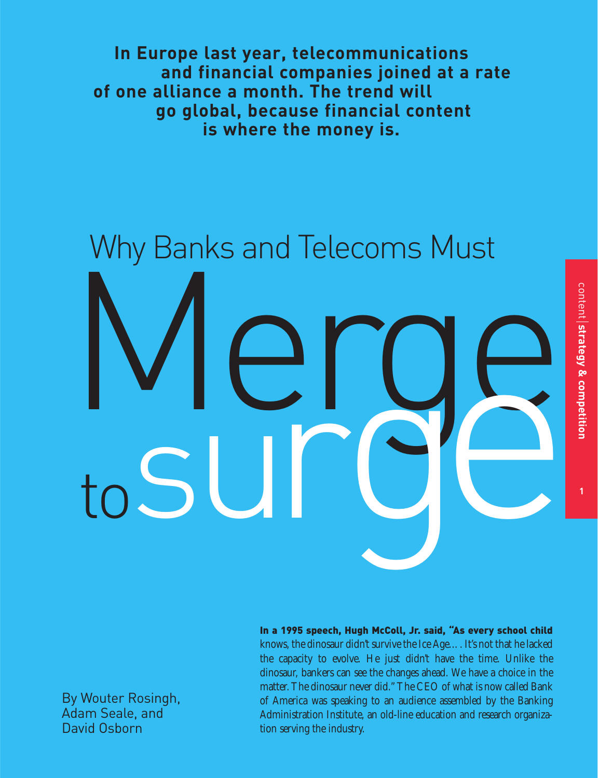**In Europe last year, telecommunications and financial companies joined at a rate of one alliance a month. The trend will go global, because financial content is where the money is.** 

# Merge **Merge** Why Banks and Telecoms Must

By Wouter Rosingh, Adam Seale, and David Osborn

In a 1995 speech, Hugh McColl, Jr. said, "As every school child knows, the dinosaur didn't survive the Ice Age…. It's not that he lacked the capacity to evolve. He just didn't have the time. Unlike the dinosaur, bankers can see the changes ahead. We have a choice in the matter. The dinosaur never did." The CEO of what is now called Bank of America was speaking to an audience assembled by the Banking Administration Institute, an old-line education and research organization serving the industry.

**1**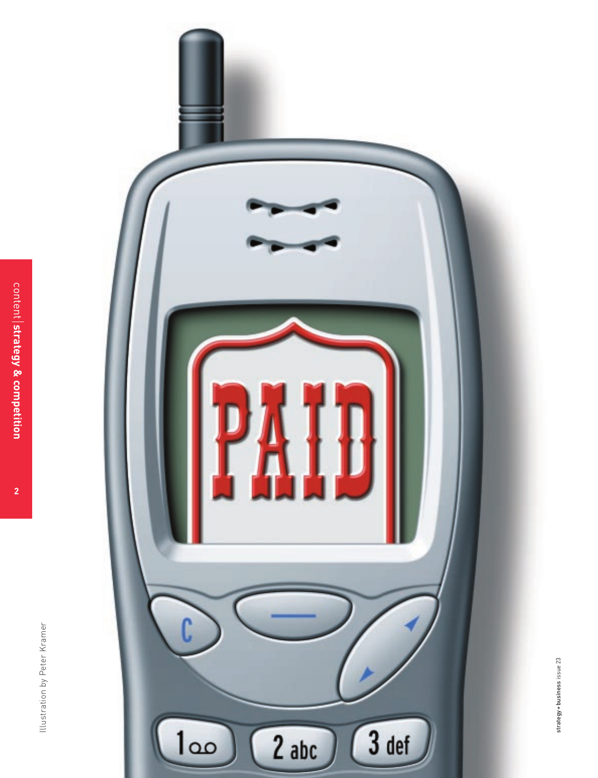

**2**

Illustration by Peter Kramer Illustration by Peter Kramer

strategy+business issue 23 strategy + business issue 23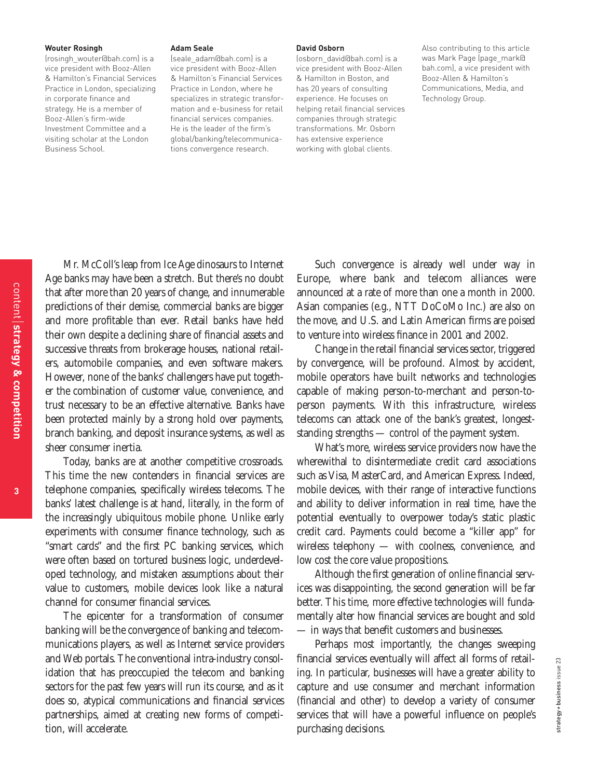#### **Wouter Rosingh**

(rosingh\_wouter@bah.com) is a vice president with Booz-Allen & Hamilton's Financial Services Practice in London, specializing in corporate finance and strategy. He is a member of Booz-Allen's firm-wide Investment Committee and a visiting scholar at the London Business School.

#### **Adam Seale**

(seale\_adam@bah.com) is a vice president with Booz-Allen & Hamilton's Financial Services Practice in London, where he specializes in strategic transformation and e-business for retail financial services companies. He is the leader of the firm's global/banking/telecommunications convergence research.

#### **David Osborn**

(osborn\_david@bah.com) is a vice president with Booz-Allen & Hamilton in Boston, and has 20 years of consulting experience. He focuses on helping retail financial services companies through strategic transformations. Mr. Osborn has extensive experience working with global clients.

Also contributing to this article was Mark Page (page\_mark@ bah.com), a vice president with Booz-Allen & Hamilton's Communications, Media, and Technology Group.

Mr. McColl's leap from Ice Age dinosaurs to Internet Age banks may have been a stretch. But there's no doubt that after more than 20 years of change, and innumerable predictions of their demise, commercial banks are bigger and more profitable than ever. Retail banks have held their own despite a declining share of financial assets and successive threats from brokerage houses, national retailers, automobile companies, and even software makers. However, none of the banks' challengers have put together the combination of customer value, convenience, and trust necessary to be an effective alternative. Banks have been protected mainly by a strong hold over payments, branch banking, and deposit insurance systems, as well as sheer consumer inertia.

Today, banks are at another competitive crossroads. This time the new contenders in financial services are telephone companies, specifically wireless telecoms. The banks' latest challenge is at hand, literally, in the form of the increasingly ubiquitous mobile phone. Unlike early experiments with consumer finance technology, such as "smart cards" and the first PC banking services, which were often based on tortured business logic, underdeveloped technology, and mistaken assumptions about their value to customers, mobile devices look like a natural channel for consumer financial services.

The epicenter for a transformation of consumer banking will be the convergence of banking and telecommunications players, as well as Internet service providers and Web portals. The conventional intra-industry consolidation that has preoccupied the telecom and banking sectors for the past few years will run its course, and as it does so, atypical communications and financial services partnerships, aimed at creating new forms of competition, will accelerate.

Such convergence is already well under way in Europe, where bank and telecom alliances were announced at a rate of more than one a month in 2000. Asian companies (e.g., NTT DoCoMo Inc.) are also on the move, and U.S. and Latin American firms are poised to venture into wireless finance in 2001 and 2002.

Change in the retail financial services sector, triggered by convergence, will be profound. Almost by accident, mobile operators have built networks and technologies capable of making person-to-merchant and person-toperson payments. With this infrastructure, wireless telecoms can attack one of the bank's greatest, longeststanding strengths — control of the payment system.

What's more, wireless service providers now have the wherewithal to disintermediate credit card associations such as Visa, MasterCard, and American Express. Indeed, mobile devices, with their range of interactive functions and ability to deliver information in real time, have the potential eventually to overpower today's static plastic credit card. Payments could become a "killer app" for wireless telephony — with coolness, convenience, and low cost the core value propositions.

Although the first generation of online financial services was disappointing, the second generation will be far better. This time, more effective technologies will fundamentally alter how financial services are bought and sold — in ways that benefit customers and businesses.

Perhaps most importantly, the changes sweeping financial services eventually will affect all forms of retailing. In particular, businesses will have a greater ability to capture and use consumer and merchant information (financial and other) to develop a variety of consumer services that will have a powerful influence on people's purchasing decisions.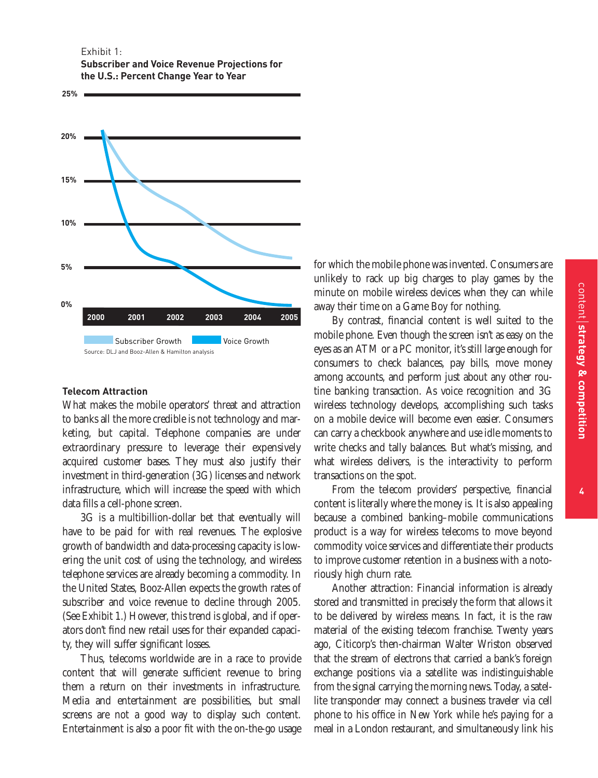Exhibit 1: **Subscriber and Voice Revenue Projections for the U.S.: Percent Change Year to Year**



## **Telecom Attraction**

What makes the mobile operators' threat and attraction to banks all the more credible is not technology and marketing, but capital. Telephone companies are under extraordinary pressure to leverage their expensively acquired customer bases. They must also justify their investment in third-generation (3G) licenses and network infrastructure, which will increase the speed with which data fills a cell-phone screen.

3G is a multibillion-dollar bet that eventually will have to be paid for with real revenues. The explosive growth of bandwidth and data-processing capacity is lowering the unit cost of using the technology, and wireless telephone services are already becoming a commodity. In the United States, Booz-Allen expects the growth rates of subscriber and voice revenue to decline through 2005. (See Exhibit 1.) However, this trend is global, and if operators don't find new retail uses for their expanded capacity, they will suffer significant losses.

Thus, telecoms worldwide are in a race to provide content that will generate sufficient revenue to bring them a return on their investments in infrastructure. Media and entertainment are possibilities, but small screens are not a good way to display such content. Entertainment is also a poor fit with the on-the-go usage for which the mobile phone was invented. Consumers are unlikely to rack up big charges to play games by the minute on mobile wireless devices when they can while away their time on a Game Boy for nothing.

By contrast, financial content is well suited to the mobile phone. Even though the screen isn't as easy on the eyes as an ATM or a PC monitor, it's still large enough for consumers to check balances, pay bills, move money among accounts, and perform just about any other routine banking transaction. As voice recognition and 3G wireless technology develops, accomplishing such tasks on a mobile device will become even easier. Consumers can carry a checkbook anywhere and use idle moments to write checks and tally balances. But what's missing, and what wireless delivers, is the interactivity to perform transactions on the spot.

From the telecom providers' perspective, financial content is literally where the money is. It is also appealing because a combined banking–mobile communications product is a way for wireless telecoms to move beyond commodity voice services and differentiate their products to improve customer retention in a business with a notoriously high churn rate.

Another attraction: Financial information is already stored and transmitted in precisely the form that allows it to be delivered by wireless means. In fact, it is the raw material of the existing telecom franchise. Twenty years ago, Citicorp's then-chairman Walter Wriston observed that the stream of electrons that carried a bank's foreign exchange positions via a satellite was indistinguishable from the signal carrying the morning news. Today, a satellite transponder may connect a business traveler via cell phone to his office in New York while he's paying for a meal in a London restaurant, and simultaneously link his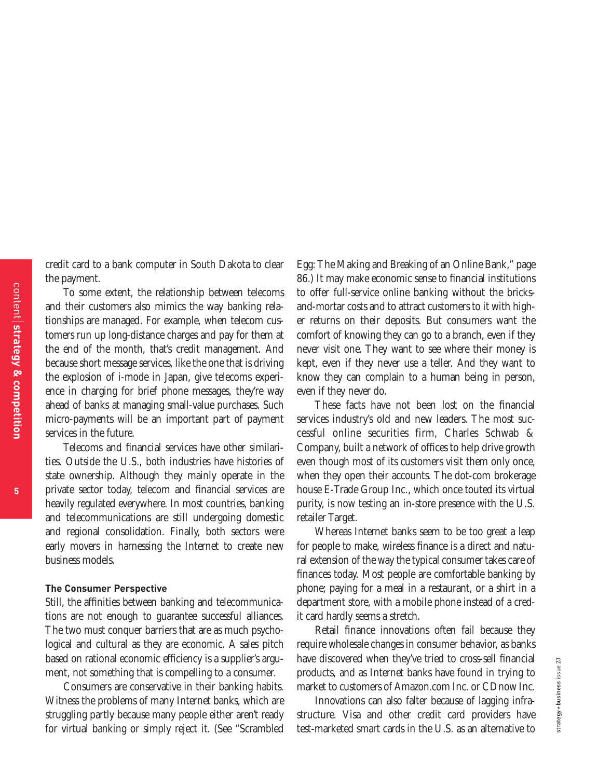credit card to a bank computer in South Dakota to clear the payment.

To some extent, the relationship between telecoms and their customers also mimics the way banking relationships are managed. For example, when telecom customers run up long-distance charges and pay for them at the end of the month, that's credit management. And because short message services, like the one that is driving the explosion of i-mode in Japan, give telecoms experience in charging for brief phone messages, they're way ahead of banks at managing small-value purchases. Such micro-payments will be an important part of payment services in the future.

Telecoms and financial services have other similarities. Outside the U.S., both industries have histories of state ownership. Although they mainly operate in the private sector today, telecom and financial services are heavily regulated everywhere. In most countries, banking and telecommunications are still undergoing domestic and regional consolidation. Finally, both sectors were early movers in harnessing the Internet to create new business models.

# **The Consumer Perspective**

Still, the affinities between banking and telecommunications are not enough to guarantee successful alliances. The two must conquer barriers that are as much psychological and cultural as they are economic. A sales pitch based on rational economic efficiency is a supplier's argument, not something that is compelling to a consumer.

Consumers are conservative in their banking habits. Witness the problems of many Internet banks, which are struggling partly because many people either aren't ready for virtual banking or simply reject it. (See "Scrambled

Egg: The Making and Breaking of an Online Bank," page 86.) It may make economic sense to financial institutions to offer full-service online banking without the bricksand-mortar costs and to attract customers to it with higher returns on their deposits. But consumers want the comfort of knowing they can go to a branch, even if they never visit one. They want to see where their money is kept, even if they never use a teller. And they want to know they can complain to a human being in person, even if they never do.

These facts have not been lost on the financial services industry's old and new leaders. The most successful online securities firm, Charles Schwab & Company, built a network of offices to help drive growth even though most of its customers visit them only once, when they open their accounts. The dot-com brokerage house E-Trade Group Inc., which once touted its virtual purity, is now testing an in-store presence with the U.S. retailer Target.

Whereas Internet banks seem to be too great a leap for people to make, wireless finance is a direct and natural extension of the way the typical consumer takes care of finances today. Most people are comfortable banking by phone; paying for a meal in a restaurant, or a shirt in a department store, with a mobile phone instead of a credit card hardly seems a stretch.

Retail finance innovations often fail because they require wholesale changes in consumer behavior, as banks have discovered when they've tried to cross-sell financial products, and as Internet banks have found in trying to market to customers of Amazon.com Inc. or CDnow Inc.

Innovations can also falter because of lagging infrastructure. Visa and other credit card providers have test-marketed smart cards in the U.S. as an alternative to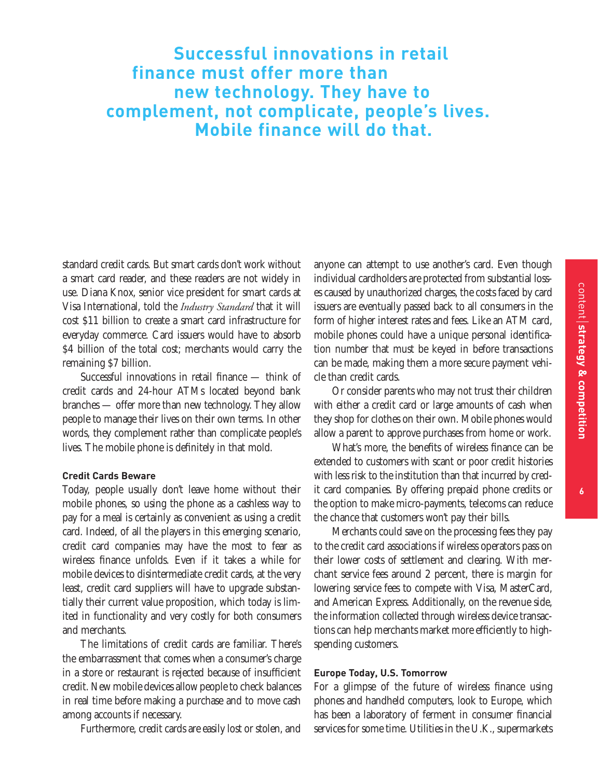# **Successful innovations in retail finance must offer more than new technology. They have to complement, not complicate, people's lives. Mobile finance will do that.**

standard credit cards. But smart cards don't work without a smart card reader, and these readers are not widely in use. Diana Knox, senior vice president for smart cards at Visa International, told the *Industry Standard* that it will cost \$11 billion to create a smart card infrastructure for everyday commerce. Card issuers would have to absorb \$4 billion of the total cost; merchants would carry the remaining \$7 billion.

Successful innovations in retail finance — think of credit cards and 24-hour ATMs located beyond bank branches — offer more than new technology. They allow people to manage their lives on their own terms. In other words, they complement rather than complicate people's lives. The mobile phone is definitely in that mold.

## **Credit Cards Beware**

Today, people usually don't leave home without their mobile phones, so using the phone as a cashless way to pay for a meal is certainly as convenient as using a credit card. Indeed, of all the players in this emerging scenario, credit card companies may have the most to fear as wireless finance unfolds. Even if it takes a while for mobile devices to disintermediate credit cards, at the very least, credit card suppliers will have to upgrade substantially their current value proposition, which today is limited in functionality and very costly for both consumers and merchants.

The limitations of credit cards are familiar. There's the embarrassment that comes when a consumer's charge in a store or restaurant is rejected because of insufficient credit. New mobile devices allow people to check balances in real time before making a purchase and to move cash among accounts if necessary.

Furthermore, credit cards are easily lost or stolen, and

anyone can attempt to use another's card. Even though individual cardholders are protected from substantial losses caused by unauthorized charges, the costs faced by card issuers are eventually passed back to all consumers in the form of higher interest rates and fees. Like an ATM card, mobile phones could have a unique personal identification number that must be keyed in before transactions can be made, making them a more secure payment vehicle than credit cards.

Or consider parents who may not trust their children with either a credit card or large amounts of cash when they shop for clothes on their own. Mobile phones would allow a parent to approve purchases from home or work.

What's more, the benefits of wireless finance can be extended to customers with scant or poor credit histories with less risk to the institution than that incurred by credit card companies. By offering prepaid phone credits or the option to make micro-payments, telecoms can reduce the chance that customers won't pay their bills.

Merchants could save on the processing fees they pay to the credit card associations if wireless operators pass on their lower costs of settlement and clearing. With merchant service fees around 2 percent, there is margin for lowering service fees to compete with Visa, MasterCard, and American Express. Additionally, on the revenue side, the information collected through wireless device transactions can help merchants market more efficiently to highspending customers.

## **Europe Today, U.S. Tomorrow**

For a glimpse of the future of wireless finance using phones and handheld computers, look to Europe, which has been a laboratory of ferment in consumer financial services for some time. Utilities in the U.K., supermarkets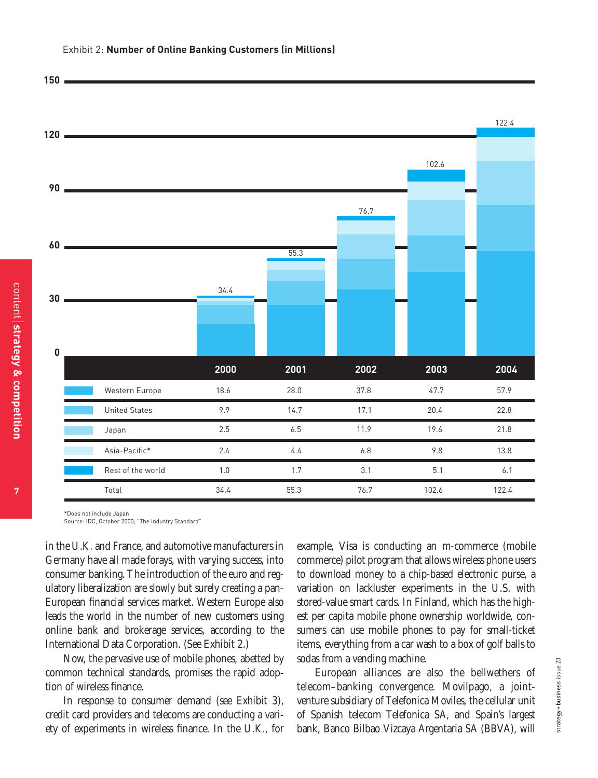



\*Does not include Japan

Source: IDC, October 2000; "The Industry Standard"

in the U.K. and France, and automotive manufacturers in Germany have all made forays, with varying success, into consumer banking. The introduction of the euro and regulatory liberalization are slowly but surely creating a pan-European financial services market. Western Europe also leads the world in the number of new customers using online bank and brokerage services, according to the International Data Corporation. (See Exhibit 2.)

Now, the pervasive use of mobile phones, abetted by common technical standards, promises the rapid adoption of wireless finance.

In response to consumer demand (see Exhibit 3), credit card providers and telecoms are conducting a variety of experiments in wireless finance. In the U.K., for example, Visa is conducting an m-commerce (mobile commerce) pilot program that allows wireless phone users to download money to a chip-based electronic purse, a variation on lackluster experiments in the U.S. with stored-value smart cards. In Finland, which has the highest per capita mobile phone ownership worldwide, consumers can use mobile phones to pay for small-ticket items, everything from a car wash to a box of golf balls to sodas from a vending machine.

European alliances are also the bellwethers of telecom–banking convergence. Movilpago, a jointventure subsidiary of Telefonica Moviles, the cellular unit of Spanish telecom Telefonica SA, and Spain's largest bank, Banco Bilbao Vizcaya Argentaria SA (BBVA), will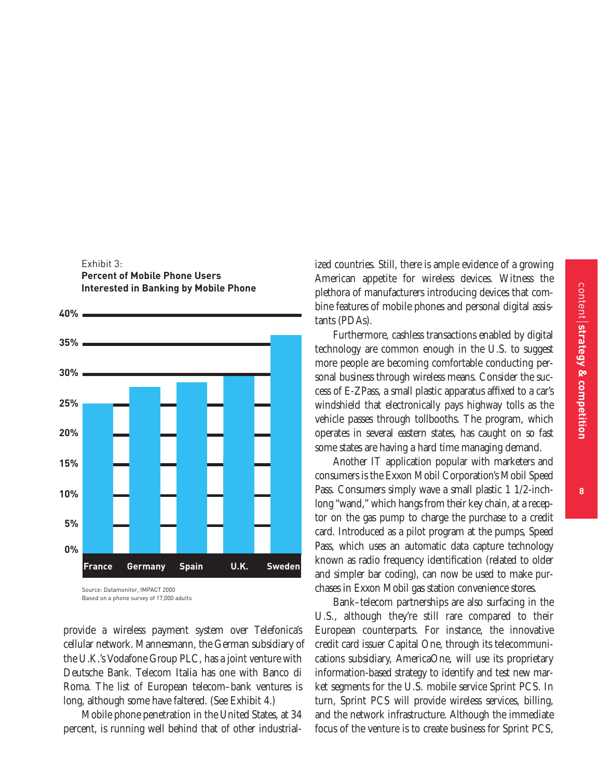# Exhibit 3: **Percent of Mobile Phone Users Interested in Banking by Mobile Phone**

**40%**



Based on a phone survey of 17,000 adults

provide a wireless payment system over Telefonica's cellular network. Mannesmann, the German subsidiary of the U.K.'s Vodafone Group PLC, has a joint venture with Deutsche Bank. Telecom Italia has one with Banco di Roma. The list of European telecom–bank ventures is long, although some have faltered. (See Exhibit 4.)

Mobile phone penetration in the United States, at 34 percent, is running well behind that of other industrialized countries. Still, there is ample evidence of a growing American appetite for wireless devices. Witness the plethora of manufacturers introducing devices that combine features of mobile phones and personal digital assistants (PDAs).

Furthermore, cashless transactions enabled by digital technology are common enough in the U.S. to suggest more people are becoming comfortable conducting personal business through wireless means. Consider the success of E-ZPass, a small plastic apparatus affixed to a car's windshield that electronically pays highway tolls as the vehicle passes through tollbooths. The program, which operates in several eastern states, has caught on so fast some states are having a hard time managing demand.

Another IT application popular with marketers and consumers is the Exxon Mobil Corporation's Mobil Speed Pass. Consumers simply wave a small plastic 1 1/2-inchlong "wand," which hangs from their key chain, at a receptor on the gas pump to charge the purchase to a credit card. Introduced as a pilot program at the pumps, Speed Pass, which uses an automatic data capture technology known as radio frequency identification (related to older and simpler bar coding), can now be used to make purchases in Exxon Mobil gas station convenience stores.

Bank–telecom partnerships are also surfacing in the U.S., although they're still rare compared to their European counterparts. For instance, the innovative credit card issuer Capital One, through its telecommunications subsidiary, AmericaOne, will use its proprietary information-based strategy to identify and test new market segments for the U.S. mobile service Sprint PCS. In turn, Sprint PCS will provide wireless services, billing, and the network infrastructure. Although the immediate focus of the venture is to create business for Sprint PCS,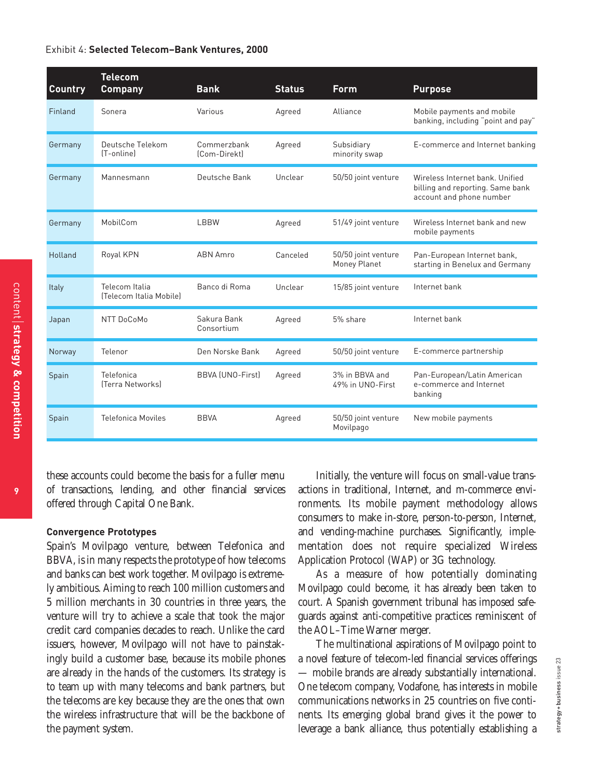#### Exhibit 4: **Selected Telecom–Bank Ventures, 2000**

| <b>Country</b> | <b>Telecom</b><br><b>Company</b>          | <b>Bank</b>                 | <b>Status</b> | <b>Form</b>                         | <b>Purpose</b>                                                                                  |
|----------------|-------------------------------------------|-----------------------------|---------------|-------------------------------------|-------------------------------------------------------------------------------------------------|
| Finland        | Sonera                                    | Various                     | Agreed        | Alliance                            | Mobile payments and mobile<br>banking, including "point and pay"                                |
| Germany        | Deutsche Telekom<br>[T-online]            | Commerzbank<br>[Com-Direkt] | Agreed        | Subsidiary<br>minority swap         | E-commerce and Internet banking                                                                 |
| Germany        | Mannesmann                                | Deutsche Bank               | Unclear       | 50/50 joint venture                 | Wireless Internet bank, Unified<br>billing and reporting. Same bank<br>account and phone number |
| Germany        | MobilCom                                  | <b>LBBW</b>                 | Agreed        | 51/49 joint venture                 | Wireless Internet bank and new<br>mobile payments                                               |
| Holland        | Royal KPN                                 | <b>ABN Amro</b>             | Canceled      | 50/50 joint venture<br>Money Planet | Pan-European Internet bank,<br>starting in Benelux and Germany                                  |
| Italy          | Telecom Italia<br>(Telecom Italia Mobile) | Banco di Roma               | Unclear       | 15/85 joint venture                 | Internet bank                                                                                   |
| Japan          | NTT DoCoMo                                | Sakura Bank<br>Consortium   | Agreed        | 5% share                            | Internet bank                                                                                   |
| Norway         | Telenor                                   | Den Norske Bank             | Agreed        | 50/50 joint venture                 | E-commerce partnership                                                                          |
| Spain          | Telefonica<br>[Terra Networks]            | <b>BBVA (UNO-First)</b>     | Agreed        | 3% in BBVA and<br>49% in UNO-First  | Pan-European/Latin American<br>e-commerce and Internet<br>banking                               |
| Spain          | <b>Telefonica Moviles</b>                 | <b>BBVA</b>                 | Agreed        | 50/50 joint venture<br>Movilpago    | New mobile payments                                                                             |

these accounts could become the basis for a fuller menu of transactions, lending, and other financial services offered through Capital One Bank.

#### **Convergence Prototypes**

Spain's Movilpago venture, between Telefonica and BBVA, is in many respects the prototype of how telecoms and banks can best work together. Movilpago is extremely ambitious. Aiming to reach 100 million customers and 5 million merchants in 30 countries in three years, the venture will try to achieve a scale that took the major credit card companies decades to reach. Unlike the card issuers, however, Movilpago will not have to painstakingly build a customer base, because its mobile phones are already in the hands of the customers. Its strategy is to team up with many telecoms and bank partners, but the telecoms are key because they are the ones that own the wireless infrastructure that will be the backbone of the payment system.

Initially, the venture will focus on small-value transactions in traditional, Internet, and m-commerce environments. Its mobile payment methodology allows consumers to make in-store, person-to-person, Internet, and vending-machine purchases. Significantly, implementation does not require specialized Wireless Application Protocol (WAP) or 3G technology.

As a measure of how potentially dominating Movilpago could become, it has already been taken to court. A Spanish government tribunal has imposed safeguards against anti-competitive practices reminiscent of the AOL–Time Warner merger.

The multinational aspirations of Movilpago point to a novel feature of telecom-led financial services offerings — mobile brands are already substantially international. One telecom company, Vodafone, has interests in mobile communications networks in 25 countries on five continents. Its emerging global brand gives it the power to leverage a bank alliance, thus potentially establishing a

**9**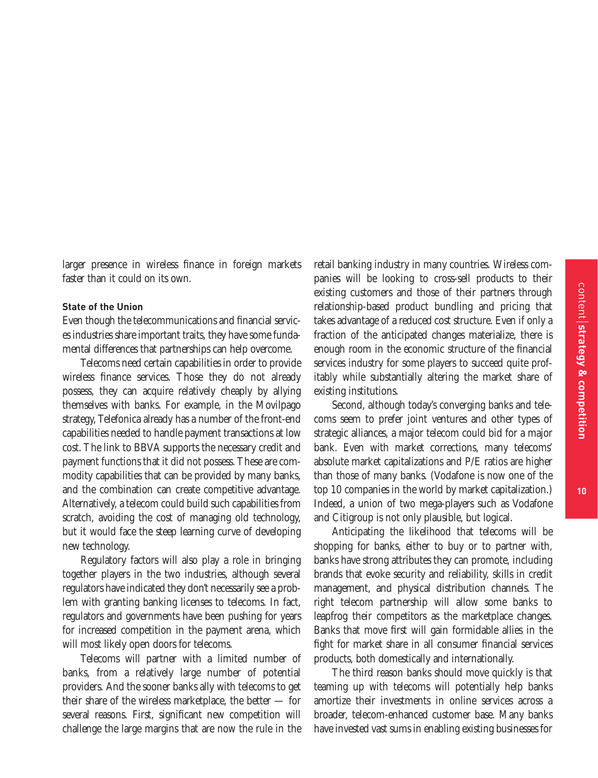larger presence in wireless finance in foreign markets faster than it could on its own.

## **State of the Union**

Even though the telecommunications and financial services industries share important traits, they have some fundamental differences that partnerships can help overcome.

Telecoms need certain capabilities in order to provide wireless finance services. Those they do not already possess, they can acquire relatively cheaply by allying themselves with banks. For example, in the Movilpago strategy, Telefonica already has a number of the front-end capabilities needed to handle payment transactions at low cost. The link to BBVA supports the necessary credit and payment functions that it did not possess. These are commodity capabilities that can be provided by many banks, and the combination can create competitive advantage. Alternatively, a telecom could build such capabilities from scratch, avoiding the cost of managing old technology, but it would face the steep learning curve of developing new technology.

Regulatory factors will also play a role in bringing together players in the two industries, although several regulators have indicated they don't necessarily see a problem with granting banking licenses to telecoms. In fact, regulators and governments have been pushing for years for increased competition in the payment arena, which will most likely open doors for telecoms.

Telecoms will partner with a limited number of banks, from a relatively large number of potential providers. And the sooner banks ally with telecoms to get their share of the wireless marketplace, the better — for several reasons. First, significant new competition will challenge the large margins that are now the rule in the

retail banking industry in many countries. Wireless companies will be looking to cross-sell products to their existing customers and those of their partners through relationship-based product bundling and pricing that takes advantage of a reduced cost structure. Even if only a fraction of the anticipated changes materialize, there is enough room in the economic structure of the financial services industry for some players to succeed quite profitably while substantially altering the market share of existing institutions.

Second, although today's converging banks and telecoms seem to prefer joint ventures and other types of strategic alliances, a major telecom could bid for a major bank. Even with market corrections, many telecoms' absolute market capitalizations and P/E ratios are higher than those of many banks. (Vodafone is now one of the top 10 companies in the world by market capitalization.) Indeed, a union of two mega-players such as Vodafone and Citigroup is not only plausible, but logical.

Anticipating the likelihood that telecoms will be shopping for banks, either to buy or to partner with, banks have strong attributes they can promote, including brands that evoke security and reliability, skills in credit management, and physical distribution channels. The right telecom partnership will allow some banks to leapfrog their competitors as the marketplace changes. Banks that move first will gain formidable allies in the fight for market share in all consumer financial services products, both domestically and internationally.

The third reason banks should move quickly is that teaming up with telecoms will potentially help banks amortize their investments in online services across a broader, telecom-enhanced customer base. Many banks have invested vast sums in enabling existing businesses for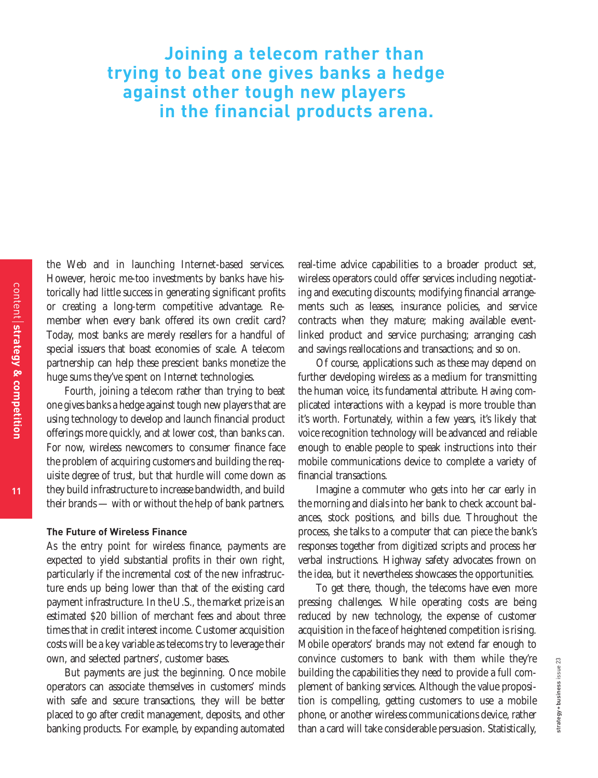# **Joining a telecom rather than trying to beat one gives banks a hedge against other tough new players in the financial products arena.**

the Web and in launching Internet-based services. However, heroic me-too investments by banks have historically had little success in generating significant profits or creating a long-term competitive advantage. Remember when every bank offered its own credit card? Today, most banks are merely resellers for a handful of special issuers that boast economies of scale. A telecom partnership can help these prescient banks monetize the huge sums they've spent on Internet technologies.

Fourth, joining a telecom rather than trying to beat one gives banks a hedge against tough new players that are using technology to develop and launch financial product offerings more quickly, and at lower cost, than banks can. For now, wireless newcomers to consumer finance face the problem of acquiring customers and building the requisite degree of trust, but that hurdle will come down as they build infrastructure to increase bandwidth, and build their brands — with or without the help of bank partners.

#### **The Future of Wireless Finance**

As the entry point for wireless finance, payments are expected to yield substantial profits in their own right, particularly if the incremental cost of the new infrastructure ends up being lower than that of the existing card payment infrastructure. In the U.S., the market prize is an estimated \$20 billion of merchant fees and about three times that in credit interest income. Customer acquisition costs will be a key variable as telecoms try to leverage their own, and selected partners', customer bases.

But payments are just the beginning. Once mobile operators can associate themselves in customers' minds with safe and secure transactions, they will be better placed to go after credit management, deposits, and other banking products. For example, by expanding automated

real-time advice capabilities to a broader product set, wireless operators could offer services including negotiating and executing discounts; modifying financial arrangements such as leases, insurance policies, and service contracts when they mature; making available eventlinked product and service purchasing; arranging cash and savings reallocations and transactions; and so on.

Of course, applications such as these may depend on further developing wireless as a medium for transmitting the human voice, its fundamental attribute. Having complicated interactions with a keypad is more trouble than it's worth. Fortunately, within a few years, it's likely that voice recognition technology will be advanced and reliable enough to enable people to speak instructions into their mobile communications device to complete a variety of financial transactions.

Imagine a commuter who gets into her car early in the morning and dials into her bank to check account balances, stock positions, and bills due. Throughout the process, she talks to a computer that can piece the bank's responses together from digitized scripts and process her verbal instructions. Highway safety advocates frown on the idea, but it nevertheless showcases the opportunities.

To get there, though, the telecoms have even more pressing challenges. While operating costs are being reduced by new technology, the expense of customer acquisition in the face of heightened competition is rising. Mobile operators' brands may not extend far enough to convince customers to bank with them while they're building the capabilities they need to provide a full complement of banking services. Although the value proposition is compelling, getting customers to use a mobile phone, or another wireless communications device, rather than a card will take considerable persuasion. Statistically,